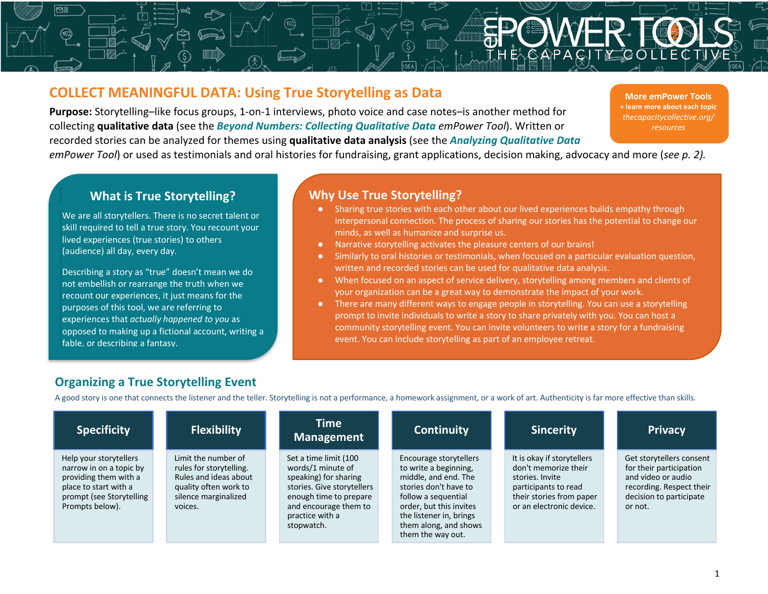# **COLLECT MEANINGFUL DATA: Using True Storytelling as Data**

**Purpose:** Storytelling–like focus groups, 1-on-1 interviews, photo voice and case notes–is another method for collecting **qualitative data** (see the *Beyond Numbers: Collecting Qualitative Data emPower Tool*). Written or recorded stories can be analyzed for themes using **qualitative data analysis** (see the *Analyzing Qualitative Data*

**More emPower Tools + learn more about each topic** *thecapacitycollective.org/ resources*

*emPower Tool*) or used as testimonials and oral histories for fundraising, grant applications, decision making, advocacy and more (*see p. 2).*

#### **What is True Storytelling?**

We are all storytellers. There is no secret talent or skill required to tell a true story. You recount your lived experiences (true stories) to others (audience) all day, every day.

Describing a story as "true" doesn't mean we do not embellish or rearrange the truth when we recount our experiences, it just means for the purposes of this tool, we are referring to experiences that *actually happened to you* as opposed to making up a fictional account, writing a fable, or describing a fantasy.

### **Why Use True Storytelling?**

- Sharing true stories with each other about our lived experiences builds empathy through interpersonal connection. The process of sharing our stories has the potential to change our minds, as well as humanize and surprise us.
- Narrative storytelling activates the pleasure centers of our brains!
- Similarly to oral histories or testimonials, when focused on a particular evaluation question, written and recorded stories can be used for qualitative data analysis.
- When focused on an aspect of service delivery, storytelling among members and clients of your organization can be a great way to demonstrate the impact of your work.
- There are many different ways to engage people in storytelling. You can use a storytelling prompt to invite individuals to write a story to share privately with you. You can host a community storytelling event. You can invite volunteers to write a story for a fundraising event. You can include storytelling as part of an employee retreat.

## **Organizing a True Storytelling Event**

A good story is one that connects the listener and the teller. Storytelling is not a performance, a homework assignment, or a work of art. Authenticity is far more effective than skills.

| <b>Specificity</b>                                                                                                                                 | <b>Flexibility</b>                                                                                                                  | <b>Time</b><br>Management                                                                                                                                                             | <b>Continuity</b>                                                                                                                                                                                                           | <b>Sincerity</b>                                                                                                                                      | <b>Privacy</b>                                                                                                                              |
|----------------------------------------------------------------------------------------------------------------------------------------------------|-------------------------------------------------------------------------------------------------------------------------------------|---------------------------------------------------------------------------------------------------------------------------------------------------------------------------------------|-----------------------------------------------------------------------------------------------------------------------------------------------------------------------------------------------------------------------------|-------------------------------------------------------------------------------------------------------------------------------------------------------|---------------------------------------------------------------------------------------------------------------------------------------------|
| Help your storytellers<br>narrow in on a topic by<br>providing them with a<br>place to start with a<br>prompt (see Storytelling<br>Prompts below). | Limit the number of<br>rules for storytelling.<br>Rules and ideas about<br>quality often work to<br>silence marginalized<br>voices. | Set a time limit (100<br>words/1 minute of<br>speaking) for sharing<br>stories. Give storytellers<br>enough time to prepare<br>and encourage them to<br>practice with a<br>stopwatch. | Encourage storytellers<br>to write a beginning,<br>middle, and end. The<br>stories don't have to<br>follow a sequential<br>order, but this invites<br>the listener in, brings<br>them along, and shows<br>them the way out. | It is okay if storytellers<br>don't memorize their<br>stories. Invite<br>participants to read<br>their stories from paper<br>or an electronic device. | Get storytellers consent<br>for their participation<br>and video or audio<br>recording. Respect their<br>decision to participate<br>or not. |